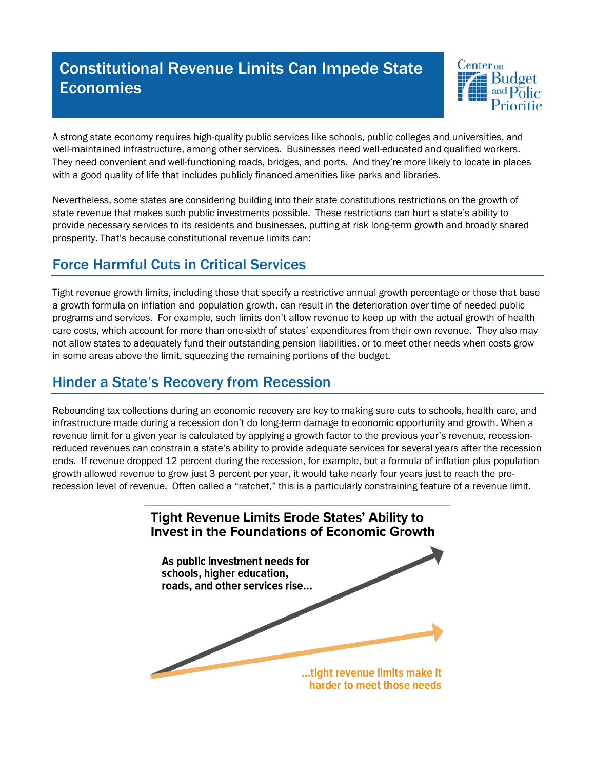# Constitutional Revenue Limits Can Impede State Economies



A strong state economy requires high-quality public services like schools, public colleges and universities, and well-maintained infrastructure, among other services. Businesses need well-educated and qualified workers. They need convenient and well-functioning roads, bridges, and ports. And they're more likely to locate in places with a good quality of life that includes publicly financed amenities like parks and libraries.

Nevertheless, some states are considering building into their state constitutions restrictions on the growth of state revenue that makes such public investments possible. These restrictions can hurt a state's ability to provide necessary services to its residents and businesses, putting at risk long-term growth and broadly shared prosperity. That's because constitutional revenue limits can:

# Force Harmful Cuts in Critical Services

Tight revenue growth limits, including those that specify a restrictive annual growth percentage or those that base a growth formula on inflation and population growth, can result in the deterioration over time of needed public programs and services. For example, such limits don't allow revenue to keep up with the actual growth of health care costs, which account for more than one-sixth of states' expenditures from their own revenue. They also may not allow states to adequately fund their outstanding pension liabilities, or to meet other needs when costs grow in some areas above the limit, squeezing the remaining portions of the budget.

#### Hinder a State's Recovery from Recession

Rebounding tax collections during an economic recovery are key to making sure cuts to schools, health care, and infrastructure made during a recession don't do long-term damage to economic opportunity and growth. When a revenue limit for a given year is calculated by applying a growth factor to the previous year's revenue, recessionreduced revenues can constrain a state's ability to provide adequate services for several years after the recession ends. If revenue dropped 12 percent during the recession, for example, but a formula of inflation plus population growth allowed revenue to grow just 3 percent per year, it would take nearly four years just to reach the prerecession level of revenue. Often called a "ratchet," this is a particularly constraining feature of a revenue limit.